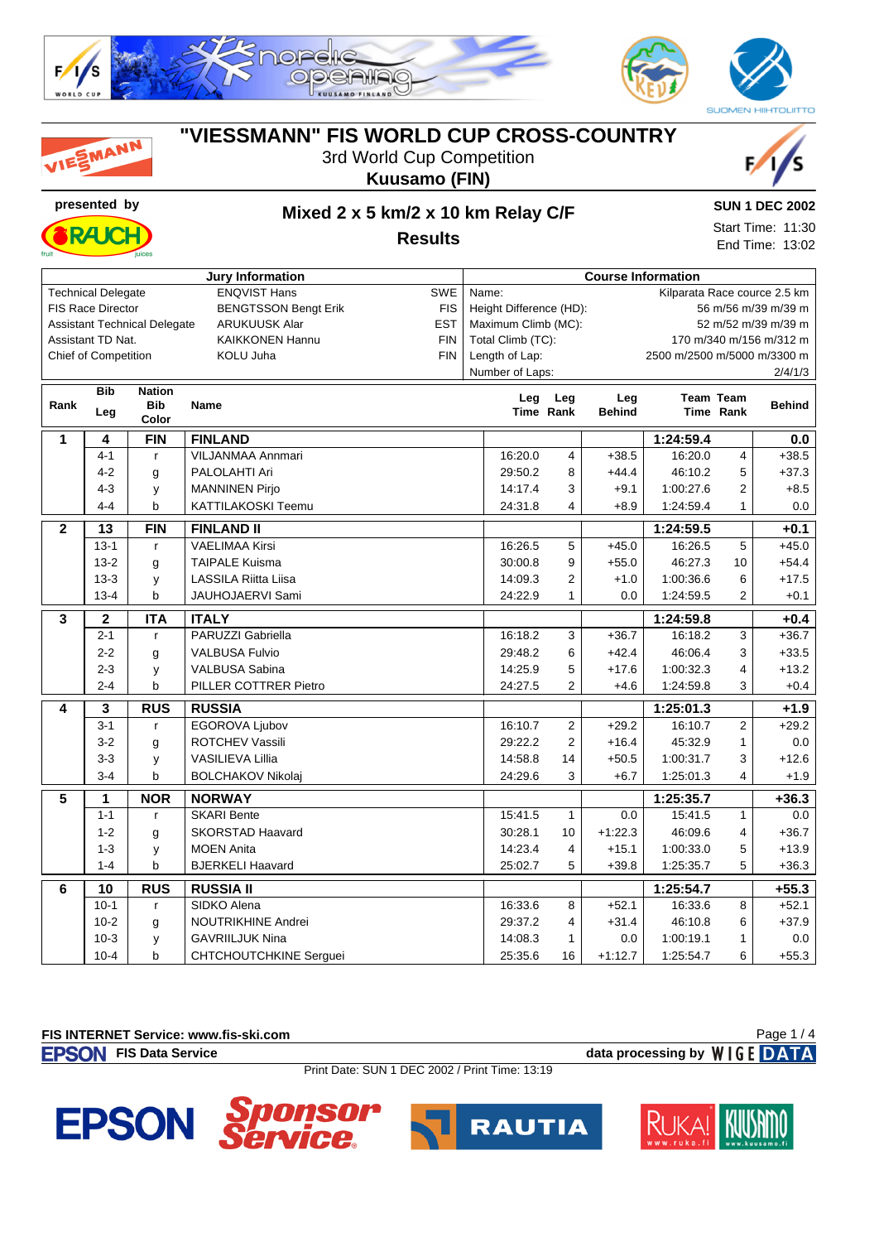

| VIESMANN       |                           |                                     | "VIESSMANN" FIS WORLD CUP CROSS-COUNTRY | 3rd World Cup Competition<br><b>Kuusamo (FIN)</b> |       |                         |                |                           |                             |                  |                              |
|----------------|---------------------------|-------------------------------------|-----------------------------------------|---------------------------------------------------|-------|-------------------------|----------------|---------------------------|-----------------------------|------------------|------------------------------|
|                | presented by              |                                     | Mixed 2 x 5 km/2 x 10 km Relay C/F      |                                                   |       |                         |                |                           |                             |                  | <b>SUN 1 DEC 2002</b>        |
|                |                           |                                     |                                         |                                                   |       |                         |                |                           |                             |                  | Start Time: 11:30            |
|                | <b>Results</b>            |                                     |                                         |                                                   |       |                         |                |                           |                             | End Time: 13:02  |                              |
|                |                           |                                     | <b>Jury Information</b>                 |                                                   |       |                         |                | <b>Course Information</b> |                             |                  |                              |
|                | <b>Technical Delegate</b> |                                     | <b>ENQVIST Hans</b>                     | <b>SWE</b>                                        | Name: |                         |                |                           |                             |                  | Kilparata Race cource 2.5 km |
|                | <b>FIS Race Director</b>  |                                     | <b>BENGTSSON Bengt Erik</b>             | <b>FIS</b>                                        |       | Height Difference (HD): |                |                           |                             |                  | 56 m/56 m/39 m/39 m          |
|                |                           | <b>Assistant Technical Delegate</b> | <b>ARUKUUSK Alar</b>                    | <b>EST</b>                                        |       | Maximum Climb (MC):     |                |                           |                             |                  | 52 m/52 m/39 m/39 m          |
|                | Assistant TD Nat.         |                                     | <b>KAIKKONEN Hannu</b>                  | <b>FIN</b>                                        |       | Total Climb (TC):       |                |                           |                             |                  | 170 m/340 m/156 m/312 m      |
|                | Chief of Competition      |                                     | KOLU Juha                               | <b>FIN</b>                                        |       | Length of Lap:          |                |                           | 2500 m/2500 m/5000 m/3300 m |                  |                              |
|                |                           |                                     |                                         |                                                   |       | Number of Laps:         |                |                           |                             |                  | 2/4/1/3                      |
|                | <b>Bib</b>                | <b>Nation</b>                       |                                         |                                                   |       | Leg                     | Leg            | Leg                       |                             | <b>Team Team</b> |                              |
| Rank           | Leg                       | Bib<br>Color                        | Name                                    |                                                   |       | Time Rank               |                | <b>Behind</b>             |                             | Time Rank        | <b>Behind</b>                |
| 1              | 4                         | <b>FIN</b>                          | <b>FINLAND</b>                          |                                                   |       |                         |                |                           | 1:24:59.4                   |                  | 0.0                          |
|                | 4-1                       | $\mathsf{r}$                        | VILJANMAA Annmari                       |                                                   |       | 16:20.0                 | 4              | $+38.5$                   | 16:20.0                     | 4                | $+38.5$                      |
|                | $4 - 2$                   | g                                   | PALOLAHTI Ari                           |                                                   |       | 29:50.2                 | 8              | $+44.4$                   | 46:10.2                     | 5                | $+37.3$                      |
|                | $4 - 3$                   | у                                   | <b>MANNINEN Pirjo</b>                   |                                                   |       | 14:17.4                 | 3              | $+9.1$                    | 1:00:27.6                   | 2                | $+8.5$                       |
|                | $4 - 4$                   | b                                   | KATTILAKOSKI Teemu                      |                                                   |       | 24:31.8                 | 4              | $+8.9$                    | 1:24:59.4                   | 1                | 0.0                          |
| $\mathbf{2}$   | 13                        | <b>FIN</b>                          | <b>FINLAND II</b>                       |                                                   |       |                         |                |                           | 1:24:59.5                   |                  | $+0.1$                       |
|                | $13 - 1$                  | $\mathsf{r}$                        | <b>VAELIMAA Kirsi</b>                   |                                                   |       | 16:26.5                 | 5              | $+45.0$                   | 16:26.5                     | 5                | $+45.0$                      |
|                | $13 - 2$                  | g                                   | <b>TAIPALE Kuisma</b>                   |                                                   |       | 30:00.8                 | 9              | $+55.0$                   | 46:27.3                     | 10               | $+54.4$                      |
|                | $13 - 3$                  | y                                   | <b>LASSILA Riitta Liisa</b>             |                                                   |       | 14:09.3                 | 2              | $+1.0$                    | 1:00:36.6                   | 6                | $+17.5$                      |
|                | $13 - 4$                  | b                                   | JAUHOJAERVI Sami                        |                                                   |       | 24:22.9                 | $\mathbf{1}$   | 0.0                       | 1:24:59.5                   | 2                | $+0.1$                       |
| 3              | $\mathbf{2}$              | <b>ITA</b>                          | <b>ITALY</b>                            |                                                   |       |                         |                |                           | 1:24:59.8                   |                  | $+0.4$                       |
|                | $2 - 1$                   | $\mathsf{r}$                        | PARUZZI Gabriella                       |                                                   |       | 16:18.2                 | 3              | $+36.7$                   | 16:18.2                     | 3                | $+36.7$                      |
|                | $2 - 2$                   | g                                   | <b>VALBUSA Fulvio</b>                   |                                                   |       | 29:48.2                 | 6              | $+42.4$                   | 46:06.4                     | 3                | $+33.5$                      |
|                | $2 - 3$                   | У                                   | <b>VALBUSA Sabina</b>                   |                                                   |       | 14:25.9                 | 5              | $+17.6$                   | 1:00:32.3                   | 4                | $+13.2$                      |
|                | $2 - 4$                   | b                                   | PILLER COTTRER Pietro                   |                                                   |       | 24:27.5                 | $\overline{2}$ | $+4.6$                    | 1:24:59.8                   | 3                | $+0.4$                       |
| 4              | 3                         | <b>RUS</b>                          | <b>RUSSIA</b>                           |                                                   |       |                         |                |                           | 1:25:01.3                   |                  | $+1.9$                       |
|                | $3 - 1$                   | $\mathsf{r}$                        | EGOROVA Ljubov                          |                                                   |       | 16:10.7                 | $\overline{2}$ | $+29.2$                   | 16:10.7                     | 2                | $+29.2$                      |
|                | $3-2$                     | g                                   | <b>ROTCHEV Vassili</b>                  |                                                   |       | 29:22.2                 | $\overline{2}$ | $+16.4$                   | 45:32.9                     | 1                | 0.0                          |
|                | $3 - 3$                   | y                                   | <b>VASILIEVA Lillia</b>                 |                                                   |       | 14:58.8                 | 14             | $+50.5$                   | 1:00:31.7                   | 3                | $+12.6$                      |
|                | $3 - 4$                   | b                                   | <b>BOLCHAKOV Nikolaj</b>                |                                                   |       | 24:29.6                 | 3              | $+6.7$                    | 1:25:01.3                   | 4                | $+1.9$                       |
| 5              | 1                         | <b>NOR</b>                          | <b>NORWAY</b>                           |                                                   |       |                         |                |                           | 1:25:35.7                   |                  | $+36.3$                      |
|                | $1 - 1$                   | r                                   | <b>SKARI Bente</b>                      |                                                   |       | 15:41.5                 | $\mathbf{1}$   | 0.0                       | 15:41.5                     | $\mathbf{1}$     | $0.0\,$                      |
|                | $1 - 2$                   | g                                   | <b>SKORSTAD Haavard</b>                 |                                                   |       | 30:28.1                 | 10             | $+1:22.3$                 | 46:09.6                     | 4                | $+36.7$                      |
|                | $1 - 3$                   | у                                   | <b>MOEN Anita</b>                       |                                                   |       | 14:23.4                 | 4              | $+15.1$                   | 1:00:33.0                   | 5                | $+13.9$                      |
|                | $1 - 4$                   | b                                   | <b>BJERKELI Haavard</b>                 |                                                   |       | 25:02.7                 | 5              | $+39.8$                   | 1:25:35.7                   | 5                | $+36.3$                      |
| $6\phantom{1}$ | 10                        | <b>RUS</b>                          | <b>RUSSIA II</b>                        |                                                   |       |                         |                |                           | 1:25:54.7                   |                  | $+55.3$                      |
|                | $10-1$                    | r                                   | SIDKO Alena                             |                                                   |       | 16:33.6                 | 8              | $+52.1$                   | 16:33.6                     | 8                | $+52.1$                      |
|                | $10-2$                    | g                                   | NOUTRIKHINE Andrei                      |                                                   |       | 29:37.2                 | 4              | $+31.4$                   | 46:10.8                     | 6                | $+37.9$                      |
|                | $10-3$                    | у                                   | <b>GAVRIILJUK Nina</b>                  |                                                   |       | 14:08.3                 | 1              | 0.0                       | 1:00:19.1                   | $\mathbf{1}$     | 0.0                          |
|                | $10 - 4$                  | $\mathsf{b}$                        | CHTCHOUTCHKINE Serguei                  |                                                   |       | 25:35.6                 | 16             | $+1:12.7$                 | 1:25:54.7                   | 6                | $+55.3$                      |

**FIS INTERNET Service: www.fis-ski.com**

**FISON** FIS Data Service **data processing by** WIGE DATA

Page 1 / 4

Print Date: SUN 1 DEC 2002 / Print Time: 13:19





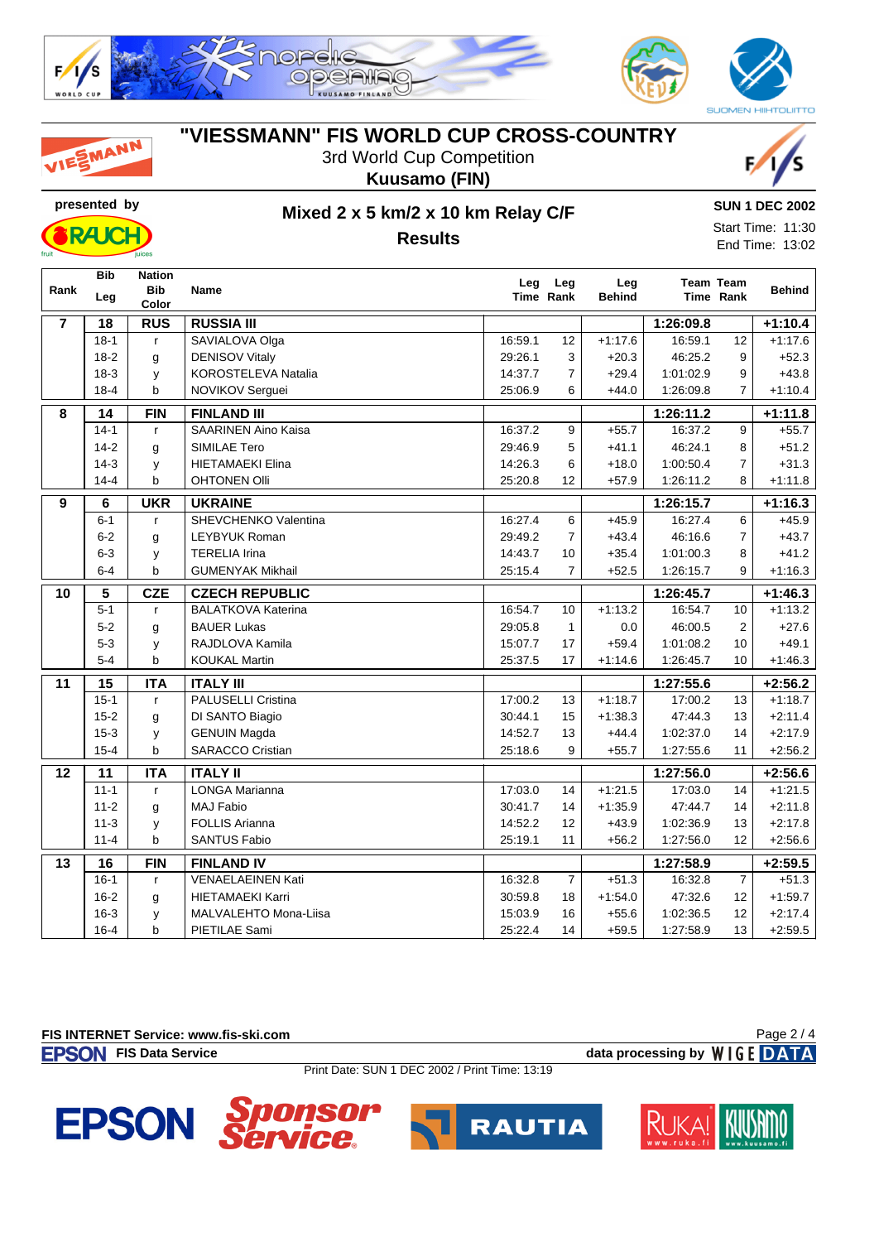

| <b>IESMANN</b> | "VIESSMANN" FIS WORLD CUP CROSS-COUNTRY |
|----------------|-----------------------------------------|
|                | 3rd World Cup Competition               |
|                | Kuusamo (FIN)                           |
| presented by   | Mixed 2 x 5 km/2 x 10 km Relay C/F      |



![](_page_1_Picture_3.jpeg)

## **Results**

Start Time: 11:30 End Time: 13:02

| Rank           | Bib<br>Leg      | <b>Nation</b><br><b>Bib</b><br>Color | <b>Name</b>                | Leg     | Leg<br>Time Rank | Leg<br><b>Behind</b> |           | <b>Team Team</b><br>Time Rank | <b>Behind</b> |
|----------------|-----------------|--------------------------------------|----------------------------|---------|------------------|----------------------|-----------|-------------------------------|---------------|
| $\overline{7}$ | 18              | <b>RUS</b>                           | <b>RUSSIA III</b>          |         |                  |                      | 1:26:09.8 |                               | $+1:10.4$     |
|                | $18-1$          | $\mathsf{r}$                         | SAVIALOVA Olga             | 16:59.1 | 12               | $+1:17.6$            | 16:59.1   | 12                            | $+1:17.6$     |
|                | $18-2$          | g                                    | <b>DENISOV Vitaly</b>      | 29:26.1 | 3                | $+20.3$              | 46:25.2   | 9                             | $+52.3$       |
|                | $18-3$          | y                                    | <b>KOROSTELEVA Natalia</b> | 14:37.7 | $\overline{7}$   | $+29.4$              | 1:01:02.9 | 9                             | $+43.8$       |
|                | $18-4$          | b                                    | NOVIKOV Serguei            | 25:06.9 | 6                | $+44.0$              | 1:26:09.8 | $\overline{7}$                | $+1:10.4$     |
| 8              | 14              | <b>FIN</b>                           | <b>FINLAND III</b>         |         |                  |                      | 1:26:11.2 |                               | $+1:11.8$     |
|                | $14-1$          | $\mathsf{r}$                         | <b>SAARINEN Aino Kaisa</b> | 16:37.2 | 9                | $+55.7$              | 16:37.2   | 9                             | $+55.7$       |
|                | $14-2$          | g                                    | SIMILAE Tero               | 29:46.9 | 5                | $+41.1$              | 46:24.1   | 8                             | $+51.2$       |
|                | $14-3$          | y                                    | <b>HIETAMAEKI Elina</b>    | 14:26.3 | 6                | $+18.0$              | 1:00:50.4 | $\overline{7}$                | $+31.3$       |
|                | $14 - 4$        | b                                    | <b>OHTONEN Olli</b>        | 25:20.8 | 12               | $+57.9$              | 1:26:11.2 | 8                             | $+1:11.8$     |
| $\overline{9}$ | 6               | <b>UKR</b>                           | <b>UKRAINE</b>             |         |                  |                      | 1:26:15.7 |                               | $+1:16.3$     |
|                | $6 - 1$         | $\mathsf{r}$                         | SHEVCHENKO Valentina       | 16:27.4 | 6                | $+45.9$              | 16:27.4   | 6                             | $+45.9$       |
|                | $6 - 2$         | g                                    | LEYBYUK Roman              | 29:49.2 | $\overline{7}$   | $+43.4$              | 46:16.6   | $\overline{7}$                | $+43.7$       |
|                | $6-3$           | y                                    | <b>TERELIA Irina</b>       | 14:43.7 | 10               | $+35.4$              | 1:01:00.3 | 8                             | $+41.2$       |
|                | $6 - 4$         | b                                    | <b>GUMENYAK Mikhail</b>    | 25:15.4 | $\overline{7}$   | $+52.5$              | 1:26:15.7 | 9                             | $+1:16.3$     |
| 10             | $\sqrt{5}$      | <b>CZE</b>                           | <b>CZECH REPUBLIC</b>      |         |                  |                      | 1:26:45.7 |                               | $+1:46.3$     |
|                | $5-1$           | $\mathsf{r}$                         | <b>BALATKOVA Katerina</b>  | 16:54.7 | 10               | $+1:13.2$            | 16:54.7   | 10                            | $+1:13.2$     |
|                | $5-2$           | g                                    | <b>BAUER Lukas</b>         | 29:05.8 | $\mathbf{1}$     | 0.0                  | 46:00.5   | 2                             | $+27.6$       |
|                | $5 - 3$         | y                                    | RAJDLOVA Kamila            | 15:07.7 | 17               | $+59.4$              | 1:01:08.2 | 10                            | $+49.1$       |
|                | $5 - 4$         | b                                    | <b>KOUKAL Martin</b>       | 25:37.5 | 17               | $+1:14.6$            | 1:26:45.7 | 10                            | $+1:46.3$     |
| 11             | 15              | <b>ITA</b>                           | <b>ITALY III</b>           |         |                  |                      | 1:27:55.6 |                               | $+2:56.2$     |
|                | $15-1$          | $\mathsf{r}$                         | PALUSELLI Cristina         | 17:00.2 | 13               | $+1:18.7$            | 17:00.2   | 13                            | $+1:18.7$     |
|                | $15 - 2$        | g                                    | DI SANTO Biagio            | 30:44.1 | 15               | $+1:38.3$            | 47:44.3   | 13                            | $+2:11.4$     |
|                | $15 - 3$        | y                                    | <b>GENUIN Magda</b>        | 14:52.7 | 13               | $+44.4$              | 1:02:37.0 | 14                            | $+2:17.9$     |
|                | $15 - 4$        | b                                    | <b>SARACCO Cristian</b>    | 25:18.6 | 9                | $+55.7$              | 1:27:55.6 | 11                            | $+2:56.2$     |
| 12             | $\overline{11}$ | <b>ITA</b>                           | <b>ITALY II</b>            |         |                  |                      | 1:27:56.0 |                               | $+2:56.6$     |
|                | $11 - 1$        | $\mathsf{r}$                         | <b>LONGA Marianna</b>      | 17:03.0 | 14               | $+1:21.5$            | 17:03.0   | 14                            | $+1:21.5$     |
|                | $11 - 2$        | g                                    | <b>MAJ Fabio</b>           | 30:41.7 | 14               | $+1:35.9$            | 47:44.7   | 14                            | $+2:11.8$     |
|                | $11 - 3$        | y                                    | <b>FOLLIS Arianna</b>      | 14:52.2 | 12               | $+43.9$              | 1:02:36.9 | 13                            | $+2:17.8$     |
|                | $11 - 4$        | b                                    | <b>SANTUS Fabio</b>        | 25:19.1 | 11               | $+56.2$              | 1:27:56.0 | 12                            | $+2:56.6$     |
| 13             | 16              | <b>FIN</b>                           | <b>FINLAND IV</b>          |         |                  |                      | 1:27:58.9 |                               | $+2:59.5$     |
|                | $16-1$          | $\mathsf{r}$                         | <b>VENAELAEINEN Kati</b>   | 16:32.8 | $\overline{7}$   | $+51.3$              | 16:32.8   | $\overline{7}$                | $+51.3$       |
|                | $16 - 2$        | g                                    | <b>HIETAMAEKI Karri</b>    | 30:59.8 | 18               | $+1:54.0$            | 47:32.6   | 12                            | $+1:59.7$     |
|                | $16 - 3$        | y                                    | MALVALEHTO Mona-Liisa      | 15:03.9 | 16               | $+55.6$              | 1:02:36.5 | 12                            | $+2:17.4$     |
|                | $16 - 4$        | b                                    | PIETILAE Sami              | 25:22.4 | 14               | $+59.5$              | 1:27:58.9 | 13                            | $+2:59.5$     |

**FIS INTERNET Service: www.fis-ski.com**

**FIS Data Service data processing by**  $W \mid G E$  **DATA** 

Page 2 / 4

Print Date: SUN 1 DEC 2002 / Print Time: 13:19

![](_page_1_Picture_12.jpeg)

![](_page_1_Picture_13.jpeg)

![](_page_1_Picture_14.jpeg)

**SUN 1 DEC 2002**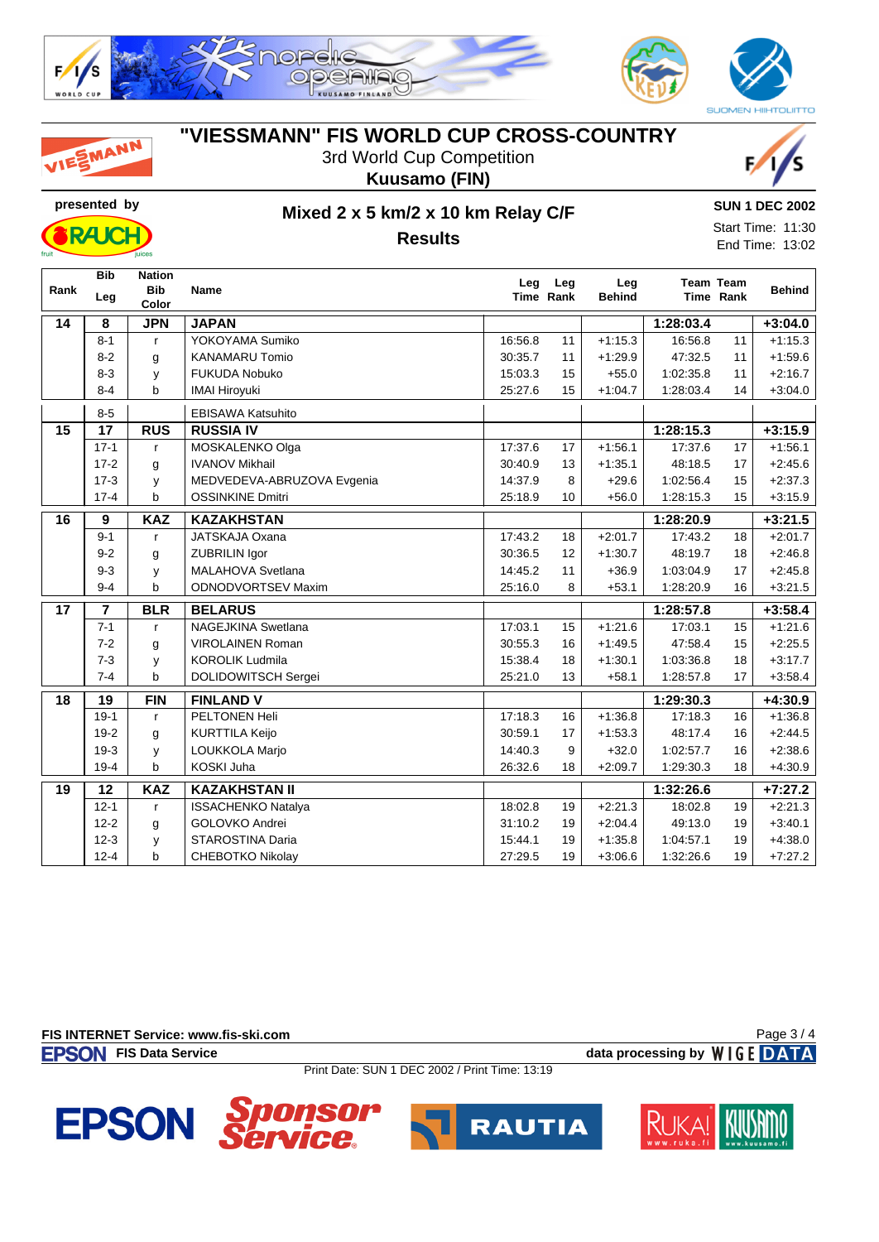![](_page_2_Picture_0.jpeg)

|      | <u>JIVUJI I J</u> | iuices                               | Results                    |         |                  |                      |           |                               | End Time: 13:02 |
|------|-------------------|--------------------------------------|----------------------------|---------|------------------|----------------------|-----------|-------------------------------|-----------------|
| Rank | <b>Bib</b><br>Leg | <b>Nation</b><br><b>Bib</b><br>Color | <b>Name</b>                | Leg     | Leg<br>Time Rank | Leg<br><b>Behind</b> |           | <b>Team Team</b><br>Time Rank | <b>Behind</b>   |
| 14   | 8                 | <b>JPN</b>                           | <b>JAPAN</b>               |         |                  |                      | 1:28:03.4 |                               | $+3:04.0$       |
|      | $8 - 1$           | $\mathsf{r}$                         | YOKOYAMA Sumiko            | 16:56.8 | 11               | $+1:15.3$            | 16:56.8   | 11                            | $+1:15.3$       |
|      | $8 - 2$           | g                                    | <b>KANAMARU Tomio</b>      | 30:35.7 | 11               | $+1:29.9$            | 47:32.5   | 11                            | $+1:59.6$       |
|      | $8 - 3$           | у                                    | <b>FUKUDA Nobuko</b>       | 15:03.3 | 15               | $+55.0$              | 1:02:35.8 | 11                            | $+2:16.7$       |
|      | $8 - 4$           | b                                    | <b>IMAI Hiroyuki</b>       | 25:27.6 | 15               | $+1:04.7$            | 1:28:03.4 | 14                            | $+3:04.0$       |
|      | $8-5$             |                                      | <b>EBISAWA Katsuhito</b>   |         |                  |                      |           |                               |                 |
| 15   | 17                | <b>RUS</b>                           | <b>RUSSIA IV</b>           |         |                  |                      | 1:28:15.3 |                               | $+3:15.9$       |
|      | $17-1$            | r                                    | MOSKALENKO Olga            | 17:37.6 | 17               | $+1:56.1$            | 17:37.6   | 17                            | $+1:56.1$       |
|      | $17-2$            | g                                    | <b>IVANOV Mikhail</b>      | 30:40.9 | 13               | $+1:35.1$            | 48:18.5   | 17                            | $+2:45.6$       |
|      | $17-3$            | у                                    | MEDVEDEVA-ABRUZOVA Evgenia | 14:37.9 | 8                | $+29.6$              | 1:02:56.4 | 15                            | $+2:37.3$       |
|      | $17 - 4$          | b                                    | <b>OSSINKINE Dmitri</b>    | 25:18.9 | 10               | $+56.0$              | 1:28:15.3 | 15                            | $+3:15.9$       |
| 16   | 9                 | <b>KAZ</b>                           | <b>KAZAKHSTAN</b>          |         |                  |                      | 1:28:20.9 |                               | $+3:21.5$       |
|      | $9 - 1$           | $\mathsf{r}$                         | JATSKAJA Oxana             | 17:43.2 | 18               | $+2:01.7$            | 17:43.2   | 18                            | $+2:01.7$       |
|      | $9 - 2$           | g                                    | <b>ZUBRILIN Igor</b>       | 30:36.5 | 12               | $+1:30.7$            | 48:19.7   | 18                            | $+2:46.8$       |
|      | $9 - 3$           | у                                    | MALAHOVA Svetlana          | 14:45.2 | 11               | $+36.9$              | 1:03:04.9 | 17                            | $+2:45.8$       |
|      | $9 - 4$           | b                                    | <b>ODNODVORTSEV Maxim</b>  | 25:16.0 | 8                | $+53.1$              | 1:28:20.9 | 16                            | $+3:21.5$       |
| 17   | $\overline{7}$    | <b>BLR</b>                           | <b>BELARUS</b>             |         |                  |                      | 1:28:57.8 |                               | $+3:58.4$       |
|      | $7 - 1$           | r                                    | NAGEJKINA Swetlana         | 17:03.1 | 15               | $+1:21.6$            | 17:03.1   | 15                            | $+1:21.6$       |
|      | $7 - 2$           | g                                    | <b>VIROLAINEN Roman</b>    | 30:55.3 | 16               | $+1:49.5$            | 47:58.4   | 15                            | $+2:25.5$       |
|      | $7-3$             | у                                    | <b>KOROLIK Ludmila</b>     | 15:38.4 | 18               | $+1:30.1$            | 1:03:36.8 | 18                            | $+3:17.7$       |
|      | $7 - 4$           | b                                    | DOLIDOWITSCH Sergei        | 25:21.0 | 13               | $+58.1$              | 1:28:57.8 | 17                            | $+3:58.4$       |
| 18   | 19                | <b>FIN</b>                           | <b>FINLAND V</b>           |         |                  |                      | 1:29:30.3 |                               | $+4:30.9$       |
|      | $19-1$            | r                                    | <b>PELTONEN Heli</b>       | 17:18.3 | 16               | $+1:36.8$            | 17:18.3   | 16                            | $+1:36.8$       |

**19 12 KAZ KAZAKHSTAN II 1:32:26.6 +7:27.2**

**"VIESSMANN" FIS WORLD CUP CROSS-COUNTRY**

3rd World Cup Competition

![](_page_2_Picture_4.jpeg)

![](_page_2_Picture_5.jpeg)

**SUN 1 DEC 2002** Start Time: 11:30

![](_page_2_Picture_6.jpeg)

SMANN

## **presented by Mixed 2 x 5 km/2 x 10 km Relay C/F Results**

| $\overline{A}$<br>. . | $\overline{V}$ $\overline{Z}$<br><b>KAZ</b> | <b>KAZAKHSTAN II</b>                     |         |    |                      | :32:26.6 |    | 7.07.0<br>.        |  |
|-----------------------|---------------------------------------------|------------------------------------------|---------|----|----------------------|----------|----|--------------------|--|
| $12 - 1$              |                                             | <b>ACHENKO</b><br>ISSA<br><b>Natalva</b> | 18:02.8 | 19 | 0.010<br>$L.L. \cup$ | 18:02.8  | 19 | 0.01.2<br>+2.2 I.v |  |

**FIS INTERNET Service: www.fis-ski.com**

**FISON** FIS Data Service **data processing by** WIGE DATA Page 3 / 4

Print Date: SUN 1 DEC 2002 / Print Time: 13:19

19-2 g KURTTILA Keijo **19-2 kURTTILA Keijo 19-2 kehi**d 10 kehid 10 kehid 10 kehid 10 kehid 10 kehid 10 kehid 1 19-3 y LOUKKOLA Marjo (14:40.3 9 +32.0 1:02:57.7 16 +2:38.6 19-4 b KOSKI Juha 26:32.6 18 +2:09.7 1:29:30.3 18 +4:30.9

12-2 g GOLOVKO Andrei 31:10.2 19 +2:04.4 49:13.0 19 +3:40.1 12-3 y STAROSTINA Daria 12-3 15:44.1 19 +1:35.8 1:04:57.1 19 +4:38.0 12-4 b CHEBOTKO Nikolay 27:29.5 19 +3:06.6 1:32:26.6 19 +7:27.2

![](_page_2_Picture_12.jpeg)

![](_page_2_Picture_13.jpeg)

![](_page_2_Picture_14.jpeg)